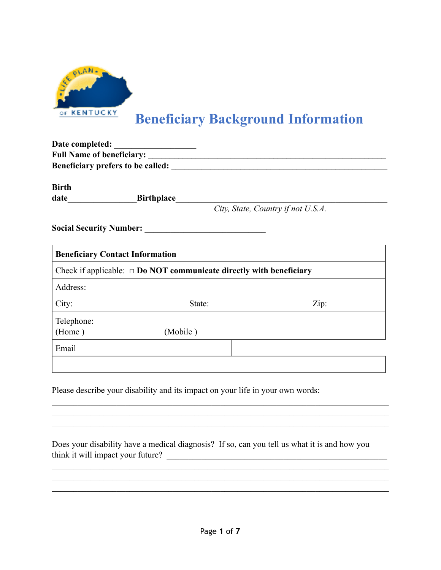

# **Beneficiary Background Information**

| <b>Full Name of beneficiary:</b> |                                                                                 |                                    |
|----------------------------------|---------------------------------------------------------------------------------|------------------------------------|
|                                  | Beneficiary prefers to be called:                                               |                                    |
| <b>Birth</b>                     |                                                                                 |                                    |
|                                  | date Birthplace                                                                 |                                    |
|                                  |                                                                                 | City, State, Country if not U.S.A. |
|                                  |                                                                                 |                                    |
|                                  | <b>Beneficiary Contact Information</b>                                          |                                    |
|                                  | Check if applicable: $\Box$ <b>Do NOT communicate directly with beneficiary</b> |                                    |
| Address:                         |                                                                                 |                                    |
| City:                            | State:                                                                          | Zip:                               |
| Telephone:                       |                                                                                 |                                    |
| (Home)                           | (Mobile)                                                                        |                                    |
| Email                            |                                                                                 |                                    |
|                                  |                                                                                 |                                    |
|                                  |                                                                                 |                                    |

Please describe your disability and its impact on your life in your own words:

|                                   | Does your disability have a medical diagnosis? If so, can you tell us what it is and how you |
|-----------------------------------|----------------------------------------------------------------------------------------------|
| think it will impact your future? |                                                                                              |

 $\mathcal{L}_\mathcal{L} = \{ \mathcal{L}_\mathcal{L} = \{ \mathcal{L}_\mathcal{L} = \{ \mathcal{L}_\mathcal{L} = \{ \mathcal{L}_\mathcal{L} = \{ \mathcal{L}_\mathcal{L} = \{ \mathcal{L}_\mathcal{L} = \{ \mathcal{L}_\mathcal{L} = \{ \mathcal{L}_\mathcal{L} = \{ \mathcal{L}_\mathcal{L} = \{ \mathcal{L}_\mathcal{L} = \{ \mathcal{L}_\mathcal{L} = \{ \mathcal{L}_\mathcal{L} = \{ \mathcal{L}_\mathcal{L} = \{ \mathcal{L}_\mathcal{$  $\mathcal{L}_\mathcal{L} = \{ \mathcal{L}_\mathcal{L} = \{ \mathcal{L}_\mathcal{L} = \{ \mathcal{L}_\mathcal{L} = \{ \mathcal{L}_\mathcal{L} = \{ \mathcal{L}_\mathcal{L} = \{ \mathcal{L}_\mathcal{L} = \{ \mathcal{L}_\mathcal{L} = \{ \mathcal{L}_\mathcal{L} = \{ \mathcal{L}_\mathcal{L} = \{ \mathcal{L}_\mathcal{L} = \{ \mathcal{L}_\mathcal{L} = \{ \mathcal{L}_\mathcal{L} = \{ \mathcal{L}_\mathcal{L} = \{ \mathcal{L}_\mathcal{$  $\mathcal{L}_\mathcal{L} = \mathcal{L}_\mathcal{L} = \mathcal{L}_\mathcal{L} = \mathcal{L}_\mathcal{L} = \mathcal{L}_\mathcal{L} = \mathcal{L}_\mathcal{L} = \mathcal{L}_\mathcal{L} = \mathcal{L}_\mathcal{L} = \mathcal{L}_\mathcal{L} = \mathcal{L}_\mathcal{L} = \mathcal{L}_\mathcal{L} = \mathcal{L}_\mathcal{L} = \mathcal{L}_\mathcal{L} = \mathcal{L}_\mathcal{L} = \mathcal{L}_\mathcal{L} = \mathcal{L}_\mathcal{L} = \mathcal{L}_\mathcal{L}$ 

 $\mathcal{L}_\mathcal{L} = \{ \mathcal{L}_\mathcal{L} = \{ \mathcal{L}_\mathcal{L} = \{ \mathcal{L}_\mathcal{L} = \{ \mathcal{L}_\mathcal{L} = \{ \mathcal{L}_\mathcal{L} = \{ \mathcal{L}_\mathcal{L} = \{ \mathcal{L}_\mathcal{L} = \{ \mathcal{L}_\mathcal{L} = \{ \mathcal{L}_\mathcal{L} = \{ \mathcal{L}_\mathcal{L} = \{ \mathcal{L}_\mathcal{L} = \{ \mathcal{L}_\mathcal{L} = \{ \mathcal{L}_\mathcal{L} = \{ \mathcal{L}_\mathcal{$  $\mathcal{L}_\mathcal{L} = \{ \mathcal{L}_\mathcal{L} = \{ \mathcal{L}_\mathcal{L} = \{ \mathcal{L}_\mathcal{L} = \{ \mathcal{L}_\mathcal{L} = \{ \mathcal{L}_\mathcal{L} = \{ \mathcal{L}_\mathcal{L} = \{ \mathcal{L}_\mathcal{L} = \{ \mathcal{L}_\mathcal{L} = \{ \mathcal{L}_\mathcal{L} = \{ \mathcal{L}_\mathcal{L} = \{ \mathcal{L}_\mathcal{L} = \{ \mathcal{L}_\mathcal{L} = \{ \mathcal{L}_\mathcal{L} = \{ \mathcal{L}_\mathcal{$  $\mathcal{L}_\mathcal{L} = \{ \mathcal{L}_\mathcal{L} = \{ \mathcal{L}_\mathcal{L} = \{ \mathcal{L}_\mathcal{L} = \{ \mathcal{L}_\mathcal{L} = \{ \mathcal{L}_\mathcal{L} = \{ \mathcal{L}_\mathcal{L} = \{ \mathcal{L}_\mathcal{L} = \{ \mathcal{L}_\mathcal{L} = \{ \mathcal{L}_\mathcal{L} = \{ \mathcal{L}_\mathcal{L} = \{ \mathcal{L}_\mathcal{L} = \{ \mathcal{L}_\mathcal{L} = \{ \mathcal{L}_\mathcal{L} = \{ \mathcal{L}_\mathcal{$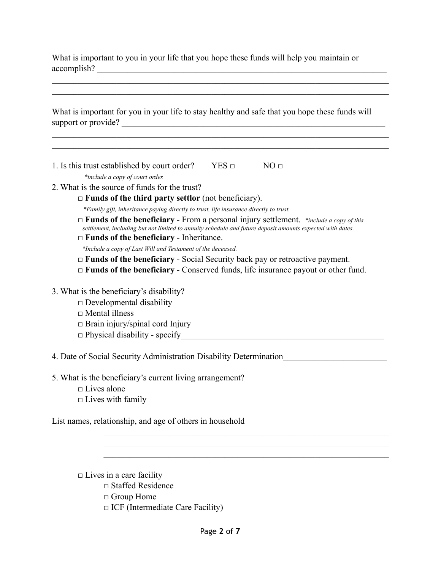What is important to you in your life that you hope these funds will help you maintain or accomplish? \_\_\_\_\_\_\_\_\_\_\_\_\_\_\_\_\_\_\_\_\_\_\_\_\_\_\_\_\_\_\_\_\_\_\_\_\_\_\_\_\_\_\_\_\_\_\_\_\_\_\_\_\_\_\_\_\_\_\_\_\_\_\_\_\_\_\_

|                     |  | What is important for you in your life to stay healthy and safe that you hope these funds will |
|---------------------|--|------------------------------------------------------------------------------------------------|
| support or provide? |  |                                                                                                |

 $\mathcal{L}_\mathcal{L} = \{ \mathcal{L}_\mathcal{L} = \{ \mathcal{L}_\mathcal{L} = \{ \mathcal{L}_\mathcal{L} = \{ \mathcal{L}_\mathcal{L} = \{ \mathcal{L}_\mathcal{L} = \{ \mathcal{L}_\mathcal{L} = \{ \mathcal{L}_\mathcal{L} = \{ \mathcal{L}_\mathcal{L} = \{ \mathcal{L}_\mathcal{L} = \{ \mathcal{L}_\mathcal{L} = \{ \mathcal{L}_\mathcal{L} = \{ \mathcal{L}_\mathcal{L} = \{ \mathcal{L}_\mathcal{L} = \{ \mathcal{L}_\mathcal{$  $\mathcal{L}_\mathcal{L} = \mathcal{L}_\mathcal{L} = \mathcal{L}_\mathcal{L} = \mathcal{L}_\mathcal{L} = \mathcal{L}_\mathcal{L} = \mathcal{L}_\mathcal{L} = \mathcal{L}_\mathcal{L} = \mathcal{L}_\mathcal{L} = \mathcal{L}_\mathcal{L} = \mathcal{L}_\mathcal{L} = \mathcal{L}_\mathcal{L} = \mathcal{L}_\mathcal{L} = \mathcal{L}_\mathcal{L} = \mathcal{L}_\mathcal{L} = \mathcal{L}_\mathcal{L} = \mathcal{L}_\mathcal{L} = \mathcal{L}_\mathcal{L}$ 

 $\mathcal{L}_\mathcal{L} = \mathcal{L}_\mathcal{L} = \mathcal{L}_\mathcal{L} = \mathcal{L}_\mathcal{L} = \mathcal{L}_\mathcal{L} = \mathcal{L}_\mathcal{L} = \mathcal{L}_\mathcal{L} = \mathcal{L}_\mathcal{L} = \mathcal{L}_\mathcal{L} = \mathcal{L}_\mathcal{L} = \mathcal{L}_\mathcal{L} = \mathcal{L}_\mathcal{L} = \mathcal{L}_\mathcal{L} = \mathcal{L}_\mathcal{L} = \mathcal{L}_\mathcal{L} = \mathcal{L}_\mathcal{L} = \mathcal{L}_\mathcal{L}$  $\mathcal{L}_\mathcal{L} = \mathcal{L}_\mathcal{L} = \mathcal{L}_\mathcal{L} = \mathcal{L}_\mathcal{L} = \mathcal{L}_\mathcal{L} = \mathcal{L}_\mathcal{L} = \mathcal{L}_\mathcal{L} = \mathcal{L}_\mathcal{L} = \mathcal{L}_\mathcal{L} = \mathcal{L}_\mathcal{L} = \mathcal{L}_\mathcal{L} = \mathcal{L}_\mathcal{L} = \mathcal{L}_\mathcal{L} = \mathcal{L}_\mathcal{L} = \mathcal{L}_\mathcal{L} = \mathcal{L}_\mathcal{L} = \mathcal{L}_\mathcal{L}$ 

- 1. Is this trust established by court order? YES  $\Box$  NO  $\Box$ 
	- *\*include a copy of court order.*
- 2. What is the source of funds for the trust?
	- □ **Funds of the third party settlor** (not beneficiary).
		- *\*Family gift, inheritance paying directly to trust, life insurance directly to trust.*
	- □ **Funds of the beneficiary** From a personal injury settlement. *\*include a copy of this settlement, including but not limited to annuity schedule and future deposit amounts expected with dates.*
	- □ **Funds of the beneficiary** Inheritance.
	- *\*Include a copy of Last Will and Testament of the deceased.*
	- $\Box$  **Funds of the beneficiary** Social Security back pay or retroactive payment.
	- □ **Funds of the beneficiary** Conserved funds, life insurance payout or other fund.
- 3. What is the beneficiary's disability?
	- $\Box$  Developmental disability
	- □ Mental illness
	- $\Box$  Brain injury/spinal cord Injury
	- $\Box$  Physical disability specify

4. Date of Social Security Administration Disability Determination\_\_\_\_\_\_\_\_\_\_\_\_\_\_\_\_\_\_\_\_\_\_\_\_

5. What is the beneficiary's current living arrangement?  $\square$  Lives alone

 $\Box$  Lives with family

List names, relationship, and age of others in household

 $\Box$  Lives in a care facility  $\Box$  Staffed Residence □ Group Home  $\Box$  ICF (Intermediate Care Facility)

 $\mathcal{L}_\text{max} = \mathcal{L}_\text{max} = \mathcal{L}_\text{max} = \mathcal{L}_\text{max} = \mathcal{L}_\text{max} = \mathcal{L}_\text{max} = \mathcal{L}_\text{max} = \mathcal{L}_\text{max} = \mathcal{L}_\text{max} = \mathcal{L}_\text{max} = \mathcal{L}_\text{max} = \mathcal{L}_\text{max} = \mathcal{L}_\text{max} = \mathcal{L}_\text{max} = \mathcal{L}_\text{max} = \mathcal{L}_\text{max} = \mathcal{L}_\text{max} = \mathcal{L}_\text{max} = \mathcal{$  $\mathcal{L}_\text{max} = \mathcal{L}_\text{max} = \mathcal{L}_\text{max} = \mathcal{L}_\text{max} = \mathcal{L}_\text{max} = \mathcal{L}_\text{max} = \mathcal{L}_\text{max} = \mathcal{L}_\text{max} = \mathcal{L}_\text{max} = \mathcal{L}_\text{max} = \mathcal{L}_\text{max} = \mathcal{L}_\text{max} = \mathcal{L}_\text{max} = \mathcal{L}_\text{max} = \mathcal{L}_\text{max} = \mathcal{L}_\text{max} = \mathcal{L}_\text{max} = \mathcal{L}_\text{max} = \mathcal{$  $\mathcal{L}_\text{max} = \mathcal{L}_\text{max} = \mathcal{L}_\text{max} = \mathcal{L}_\text{max} = \mathcal{L}_\text{max} = \mathcal{L}_\text{max} = \mathcal{L}_\text{max} = \mathcal{L}_\text{max} = \mathcal{L}_\text{max} = \mathcal{L}_\text{max} = \mathcal{L}_\text{max} = \mathcal{L}_\text{max} = \mathcal{L}_\text{max} = \mathcal{L}_\text{max} = \mathcal{L}_\text{max} = \mathcal{L}_\text{max} = \mathcal{L}_\text{max} = \mathcal{L}_\text{max} = \mathcal{$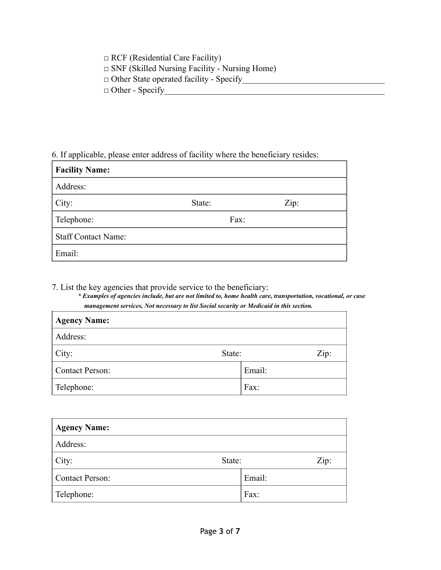□ RCF (Residential Care Facility) □ SNF (Skilled Nursing Facility - Nursing Home) □ Other State operated facility - Specify\_\_\_\_\_\_\_\_\_\_\_\_\_\_\_\_\_\_\_\_\_\_\_\_\_\_\_\_\_\_\_\_\_ □ Other - Specify\_\_\_\_\_\_\_\_\_\_\_\_\_\_\_\_\_\_\_\_\_\_\_\_\_\_\_\_\_\_\_\_\_\_\_\_\_\_\_\_\_\_\_\_\_\_\_\_\_\_\_

#### 6. If applicable, please enter address of facility where the beneficiary resides:

| <b>Facility Name:</b>      |        |      |
|----------------------------|--------|------|
| Address:                   |        |      |
| City:                      | State: | Zip: |
| Telephone:                 | Fax:   |      |
| <b>Staff Contact Name:</b> |        |      |
| Email:                     |        |      |

7. List the key agencies that provide service to the beneficiary:

*\* Examples of agencies include, but are not limited to, home health care, transportation, vocational, or case management services, Not necessary to list Social security or Medicaid in this section.*

| <b>Agency Name:</b> |        |
|---------------------|--------|
| Address:            |        |
| City:<br>State:     | Zip:   |
| Contact Person:     | Email: |
| Telephone:          | Fax:   |

| <b>Agency Name:</b>    |        |        |      |
|------------------------|--------|--------|------|
| Address:               |        |        |      |
| City:                  | State: |        | Zip: |
| <b>Contact Person:</b> |        | Email: |      |
| Telephone:             |        | Fax:   |      |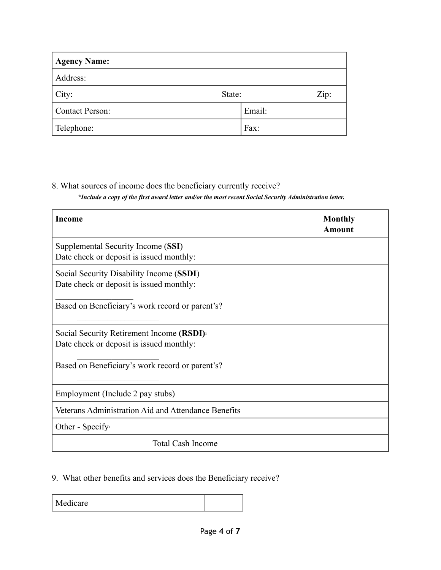| <b>Agency Name:</b>    |        |        |      |
|------------------------|--------|--------|------|
| Address:               |        |        |      |
| City:                  | State: |        | Zip: |
| <b>Contact Person:</b> |        | Email: |      |
| Telephone:             |        | Fax:   |      |

# 8. What sources of income does the beneficiary currently receive?

*\*Include a copy of the first award letter and/or the most recent Social Security Administration letter.* 

| Income                                                                                            | <b>Monthly</b><br><b>Amount</b> |
|---------------------------------------------------------------------------------------------------|---------------------------------|
| Supplemental Security Income (SSI)<br>Date check or deposit is issued monthly:                    |                                 |
| Social Security Disability Income (SSDI)<br>Date check or deposit is issued monthly:              |                                 |
| Based on Beneficiary's work record or parent's?                                                   |                                 |
| Social Security Retirement Income (RSDI) <sup>1</sup><br>Date check or deposit is issued monthly: |                                 |
| Based on Beneficiary's work record or parent's?                                                   |                                 |
| Employment (Include 2 pay stubs)                                                                  |                                 |
| Veterans Administration Aid and Attendance Benefits                                               |                                 |
| Other - Specify                                                                                   |                                 |
| <b>Total Cash Income</b>                                                                          |                                 |

## 9. What other benefits and services does the Beneficiary receive?

Medicare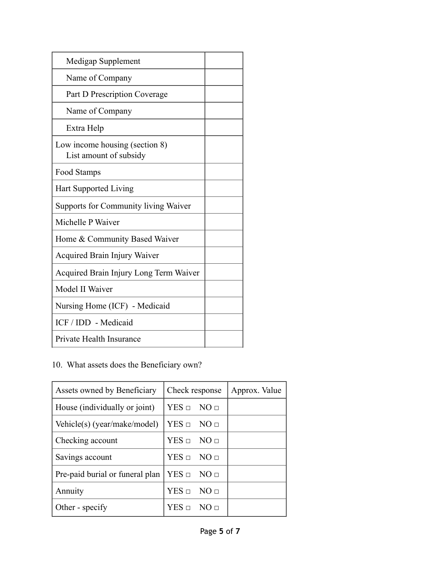| Medigap Supplement                                       |  |
|----------------------------------------------------------|--|
| Name of Company                                          |  |
| Part D Prescription Coverage                             |  |
| Name of Company                                          |  |
| Extra Help                                               |  |
| Low income housing (section 8)<br>List amount of subsidy |  |
| Food Stamps                                              |  |
| <b>Hart Supported Living</b>                             |  |
| <b>Supports for Community living Waiver</b>              |  |
| Michelle P Waiver                                        |  |
| Home & Community Based Waiver                            |  |
| Acquired Brain Injury Waiver                             |  |
| Acquired Brain Injury Long Term Waiver                   |  |
| Model II Waiver                                          |  |
| Nursing Home (ICF) - Medicaid                            |  |
| ICF / IDD - Medicaid                                     |  |
| Private Health Insurance                                 |  |

## 10. What assets does the Beneficiary own?

| Assets owned by Beneficiary     | Check response           | Approx. Value |
|---------------------------------|--------------------------|---------------|
| House (individually or joint)   | $YES \square NO \square$ |               |
| Vehicle(s) (year/make/model)    | $YES \sqcap NO \sqcap$   |               |
| Checking account                | $YES \sqcap NO \sqcap$   |               |
| Savings account                 | $YES \sqcap NO \sqcap$   |               |
| Pre-paid burial or funeral plan | $YES \Box NO \Box$       |               |
| Annuity                         | $YES \square NO \square$ |               |
| Other - specify                 | $YES \sqcup NO \sqcup$   |               |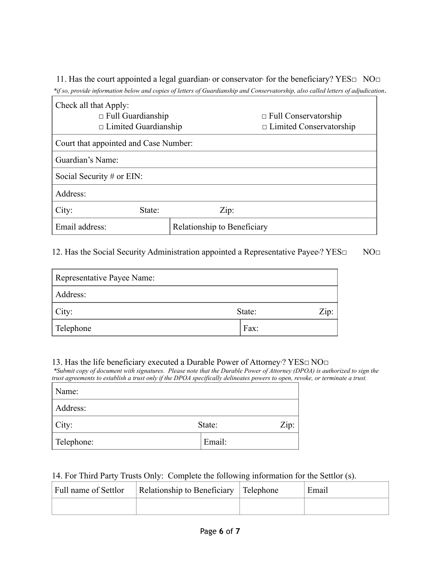11. Has the court appointed a legal guardian<sup>4</sup> or conservator<sup>5</sup> for the beneficiary? YES $\square$  NO $\square$  *\*if so, provide information below and copies of letters of Guardianship and Conservatorship, also called letters of adjudication*.

| Check all that Apply:<br>$\Box$ Full Guardianship<br>$\Box$ Limited Guardianship |        |                             | $\Box$ Full Conservatorship<br>$\Box$ Limited Conservatorship |
|----------------------------------------------------------------------------------|--------|-----------------------------|---------------------------------------------------------------|
| Court that appointed and Case Number:                                            |        |                             |                                                               |
| Guardian's Name:                                                                 |        |                             |                                                               |
| Social Security $#$ or EIN:                                                      |        |                             |                                                               |
| Address:                                                                         |        |                             |                                                               |
| City:                                                                            | State: | Zip:                        |                                                               |
| Email address:                                                                   |        | Relationship to Beneficiary |                                                               |

12. Has the Social Security Administration appointed a Representative Payee©? YES□ NO□

| Representative Payee Name: |                |
|----------------------------|----------------|
| Address:                   |                |
| City:                      | Zip:<br>State: |
| Telephone                  | Fax:           |

### 13. Has the life beneficiary executed a Durable Power of Attorney<sup>7</sup>? YES□ NO□

 *\*Submit copy of document with signatures. Please note that the Durable Power of Attorney (DPOA) is authorized to sign the trust agreements to establish a trust only if the DPOA specifically delineates powers to open, revoke, or terminate a trust.*

| Name:      |        |      |
|------------|--------|------|
| Address:   |        |      |
| City:      | State: | Zip: |
| Telephone: | Email: |      |

#### 14. For Third Party Trusts Only: Complete the following information for the Settlor (s).

| Full name of Settlor | Relationship to Beneficiary   Telephone | Email |
|----------------------|-----------------------------------------|-------|
|                      |                                         |       |